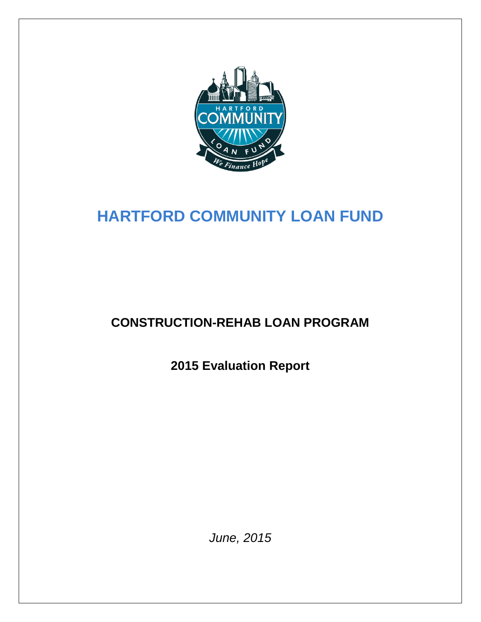

# **HARTFORD COMMUNITY LOAN FUND**

# **CONSTRUCTION-REHAB LOAN PROGRAM**

**2015 Evaluation Report**

*June, 2015*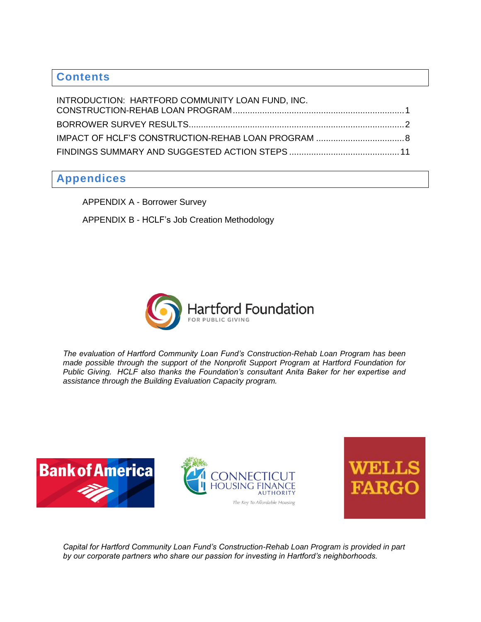# **Contents**

| INTRODUCTION: HARTFORD COMMUNITY LOAN FUND, INC. |  |
|--------------------------------------------------|--|
|                                                  |  |
|                                                  |  |
|                                                  |  |

# **Appendices**

APPENDIX A - Borrower Survey APPENDIX B - HCLF's Job Creation Methodology



*The evaluation of Hartford Community Loan Fund's Construction-Rehab Loan Program has been made possible through the support of the Nonprofit Support Program at Hartford Foundation for Public Giving. HCLF also thanks the Foundation's consultant Anita Baker for her expertise and assistance through the Building Evaluation Capacity program.* 







*Capital for Hartford Community Loan Fund's Construction-Rehab Loan Program is provided in part by our corporate partners who share our passion for investing in Hartford's neighborhoods.*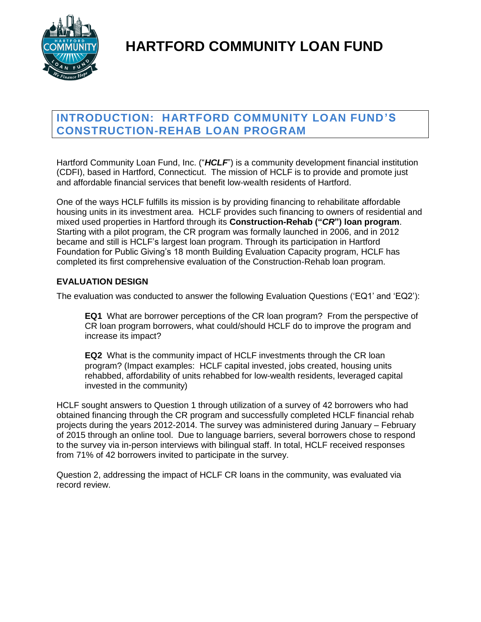

# **HARTFORD COMMUNITY LOAN FUND**

# <span id="page-2-0"></span>**INTRODUCTION: HARTFORD COMMUNITY LOAN FUND'S CONSTRUCTION-REHAB LOAN PROGRAM**

Hartford Community Loan Fund, Inc. ("HCLF") is a community development financial institution (CDFI), based in Hartford, Connecticut. The mission of HCLF is to provide and promote just and affordable financial services that benefit low-wealth residents of Hartford.

One of the ways HCLF fulfills its mission is by providing financing to rehabilitate affordable housing units in its investment area. HCLF provides such financing to owners of residential and mixed used properties in Hartford through its **Construction-Rehab ("***CR***") loan program**. Starting with a pilot program, the CR program was formally launched in 2006, and in 2012 became and still is HCLF's largest loan program. Through its participation in Hartford Foundation for Public Giving's 18 month Building Evaluation Capacity program, HCLF has completed its first comprehensive evaluation of the Construction-Rehab loan program.

### **EVALUATION DESIGN**

The evaluation was conducted to answer the following Evaluation Questions ('EQ1' and 'EQ2'):

**EQ1** What are borrower perceptions of the CR loan program? From the perspective of CR loan program borrowers, what could/should HCLF do to improve the program and increase its impact?

**EQ2** What is the community impact of HCLF investments through the CR loan program? (Impact examples: HCLF capital invested, jobs created, housing units rehabbed, affordability of units rehabbed for low-wealth residents, leveraged capital invested in the community)

HCLF sought answers to Question 1 through utilization of a survey of 42 borrowers who had obtained financing through the CR program and successfully completed HCLF financial rehab projects during the years 2012-2014. The survey was administered during January – February of 2015 through an online tool. Due to language barriers, several borrowers chose to respond to the survey via in-person interviews with bilingual staff. In total, HCLF received responses from 71% of 42 borrowers invited to participate in the survey.

Question 2, addressing the impact of HCLF CR loans in the community, was evaluated via record review.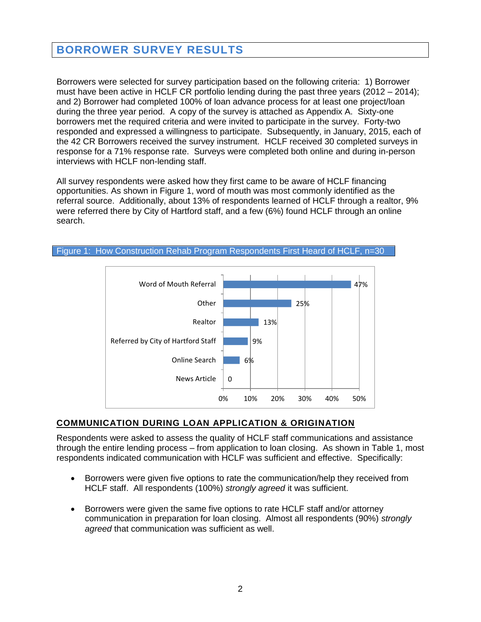# <span id="page-3-0"></span>**BORROWER SURVEY RESULTS**

Borrowers were selected for survey participation based on the following criteria: 1) Borrower must have been active in HCLF CR portfolio lending during the past three years (2012 – 2014); and 2) Borrower had completed 100% of loan advance process for at least one project/loan during the three year period. A copy of the survey is attached as Appendix A. Sixty-one borrowers met the required criteria and were invited to participate in the survey. Forty-two responded and expressed a willingness to participate. Subsequently, in January, 2015, each of the 42 CR Borrowers received the survey instrument. HCLF received 30 completed surveys in response for a 71% response rate. Surveys were completed both online and during in-person interviews with HCLF non-lending staff.

All survey respondents were asked how they first came to be aware of HCLF financing opportunities. As shown in Figure 1, word of mouth was most commonly identified as the referral source. Additionally, about 13% of respondents learned of HCLF through a realtor, 9% were referred there by City of Hartford staff, and a few (6%) found HCLF through an online search.





## **COMMUNICATION DURING LOAN APPLICATION & ORIGINATION**

Respondents were asked to assess the quality of HCLF staff communications and assistance through the entire lending process – from application to loan closing. As shown in Table 1, most respondents indicated communication with HCLF was sufficient and effective. Specifically:

- Borrowers were given five options to rate the communication/help they received from HCLF staff. All respondents (100%) *strongly agreed* it was sufficient.
- Borrowers were given the same five options to rate HCLF staff and/or attorney communication in preparation for loan closing. Almost all respondents (90%) *strongly agreed* that communication was sufficient as well.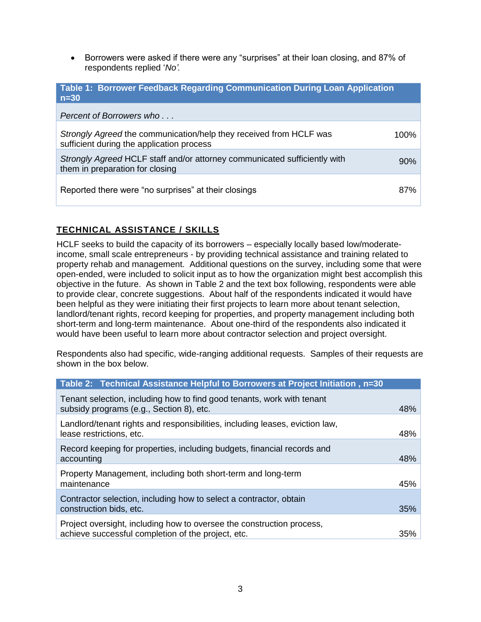• Borrowers were asked if there were any "surprises" at their loan closing, and 87% of respondents replied '*No'.*

| Table 1: Borrower Feedback Regarding Communication During Loan Application<br>$n=30$                            |      |
|-----------------------------------------------------------------------------------------------------------------|------|
| Percent of Borrowers who                                                                                        |      |
| Strongly Agreed the communication/help they received from HCLF was<br>sufficient during the application process | 100% |
| Strongly Agreed HCLF staff and/or attorney communicated sufficiently with<br>them in preparation for closing    | 90%  |
| Reported there were "no surprises" at their closings                                                            | 87%  |

## **TECHNICAL ASSISTANCE / SKILLS**

HCLF seeks to build the capacity of its borrowers – especially locally based low/moderateincome, small scale entrepreneurs - by providing technical assistance and training related to property rehab and management. Additional questions on the survey, including some that were open-ended, were included to solicit input as to how the organization might best accomplish this objective in the future. As shown in Table 2 and the text box following, respondents were able to provide clear, concrete suggestions. About half of the respondents indicated it would have been helpful as they were initiating their first projects to learn more about tenant selection, landlord/tenant rights, record keeping for properties, and property management including both short-term and long-term maintenance. About one-third of the respondents also indicated it would have been useful to learn more about contractor selection and project oversight.

Respondents also had specific, wide-ranging additional requests. Samples of their requests are shown in the box below.

| Table 2: Technical Assistance Helpful to Borrowers at Project Initiation, n=30                                              |     |
|-----------------------------------------------------------------------------------------------------------------------------|-----|
| Tenant selection, including how to find good tenants, work with tenant<br>subsidy programs (e.g., Section 8), etc.          | 48% |
| Landlord/tenant rights and responsibilities, including leases, eviction law,<br>lease restrictions, etc.                    | 48% |
| Record keeping for properties, including budgets, financial records and<br>accounting                                       | 48% |
| Property Management, including both short-term and long-term<br>maintenance                                                 | 45% |
| Contractor selection, including how to select a contractor, obtain<br>construction bids, etc.                               | 35% |
| Project oversight, including how to oversee the construction process,<br>achieve successful completion of the project, etc. | 35% |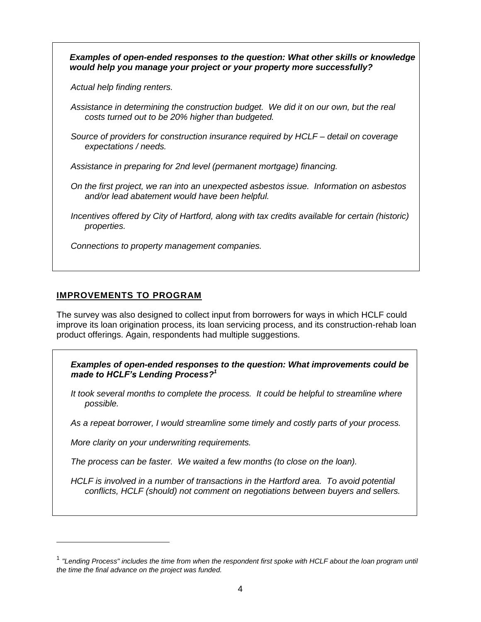*Examples of open-ended responses to the question: What other skills or knowledge would help you manage your project or your property more successfully?*

*Actual help finding renters.*

- *Assistance in determining the construction budget. We did it on our own, but the real costs turned out to be 20% higher than budgeted.*
- *Source of providers for construction insurance required by HCLF – detail on coverage expectations / needs.*

*Assistance in preparing for 2nd level (permanent mortgage) financing.*

- *On the first project, we ran into an unexpected asbestos issue. Information on asbestos and/or lead abatement would have been helpful.*
- *Incentives offered by City of Hartford, along with tax credits available for certain (historic) properties.*

*Connections to property management companies.* 

### **IMPROVEMENTS TO PROGRAM**

The survey was also designed to collect input from borrowers for ways in which HCLF could improve its loan origination process, its loan servicing process, and its construction-rehab loan product offerings. Again, respondents had multiple suggestions.

*Examples of open-ended responses to the question: What improvements could be made to HCLF's Lending Process? 1*

*It took several months to complete the process. It could be helpful to streamline where possible.*

*As a repeat borrower, I would streamline some timely and costly parts of your process.*

*More clarity on your underwriting requirements.*

*The process can be faster. We waited a few months (to close on the loan).*

*HCLF is involved in a number of transactions in the Hartford area. To avoid potential conflicts, HCLF (should) not comment on negotiations between buyers and sellers.*

<sup>1</sup> *"Lending Process" includes the time from when the respondent first spoke with HCLF about the loan program until the time the final advance on the project was funded.*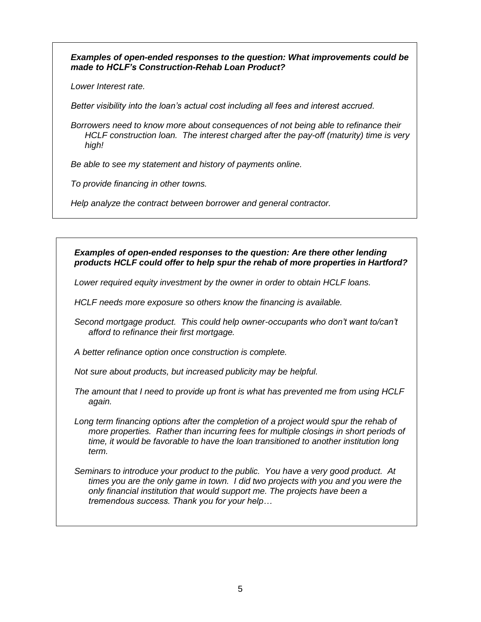*Examples of open-ended responses to the question: What improvements could be made to HCLF's Construction-Rehab Loan Product?*

*Lower Interest rate.*

*Better visibility into the loan's actual cost including all fees and interest accrued.*

*Borrowers need to know more about consequences of not being able to refinance their HCLF construction loan. The interest charged after the pay-off (maturity) time is very high!* 

*Be able to see my statement and history of payments online.*

*To provide financing in other towns.*

*Help analyze the contract between borrower and general contractor.*

#### *Examples of open-ended responses to the question: Are there other lending products HCLF could offer to help spur the rehab of more properties in Hartford?*

*Lower required equity investment by the owner in order to obtain HCLF loans.*

*HCLF needs more exposure so others know the financing is available.*

*Second mortgage product. This could help owner-occupants who don't want to/can't afford to refinance their first mortgage.*

*A better refinance option once construction is complete.*

*Not sure about products, but increased publicity may be helpful.*

*The amount that I need to provide up front is what has prevented me from using HCLF again.*

Long term financing options after the completion of a project would spur the rehab of *more properties. Rather than incurring fees for multiple closings in short periods of time, it would be favorable to have the loan transitioned to another institution long term.*

*Seminars to introduce your product to the public. You have a very good product. At times you are the only game in town. I did two projects with you and you were the only financial institution that would support me. The projects have been a tremendous success. Thank you for your help…*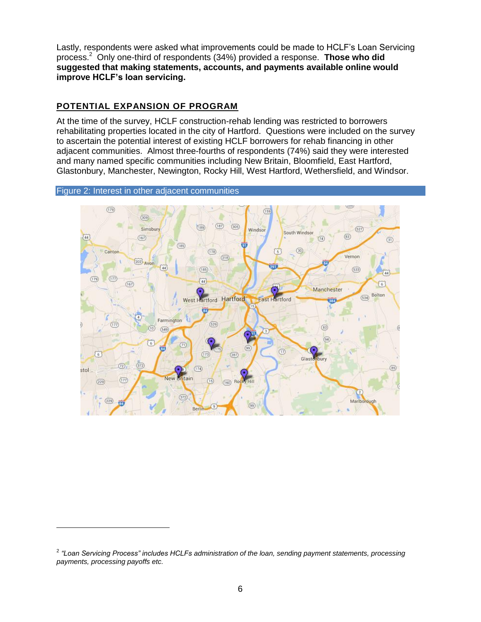Lastly, respondents were asked what improvements could be made to HCLF's Loan Servicing process. 2 Only one-third of respondents (34%) provided a response. **Those who did suggested that making statements, accounts, and payments available online would improve HCLF's loan servicing.**

### **POTENTIAL EXPANSION OF PROGRAM**

At the time of the survey, HCLF construction-rehab lending was restricted to borrowers rehabilitating properties located in the city of Hartford. Questions were included on the survey to ascertain the potential interest of existing HCLF borrowers for rehab financing in other adjacent communities. Almost three-fourths of respondents (74%) said they were interested and many named specific communities including New Britain, Bloomfield, East Hartford, Glastonbury, Manchester, Newington, Rocky Hill, West Hartford, Wethersfield, and Windsor.

#### Figure 2: Interest in other adjacent communities



<sup>2</sup> *"Loan Servicing Process" includes HCLFs administration of the loan, sending payment statements, processing payments, processing payoffs etc.*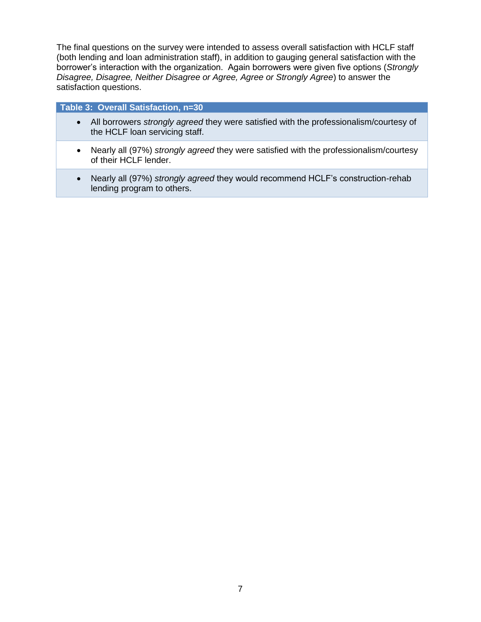The final questions on the survey were intended to assess overall satisfaction with HCLF staff (both lending and loan administration staff), in addition to gauging general satisfaction with the borrower's interaction with the organization. Again borrowers were given five options (*Strongly Disagree, Disagree, Neither Disagree or Agree, Agree or Strongly Agree*) to answer the satisfaction questions.

#### **Table 3: Overall Satisfaction, n=30**

- All borrowers *strongly agreed* they were satisfied with the professionalism/courtesy of the HCLF loan servicing staff.
- Nearly all (97%) *strongly agreed* they were satisfied with the professionalism/courtesy of their HCLF lender.
- Nearly all (97%) *strongly agreed* they would recommend HCLF's construction-rehab lending program to others.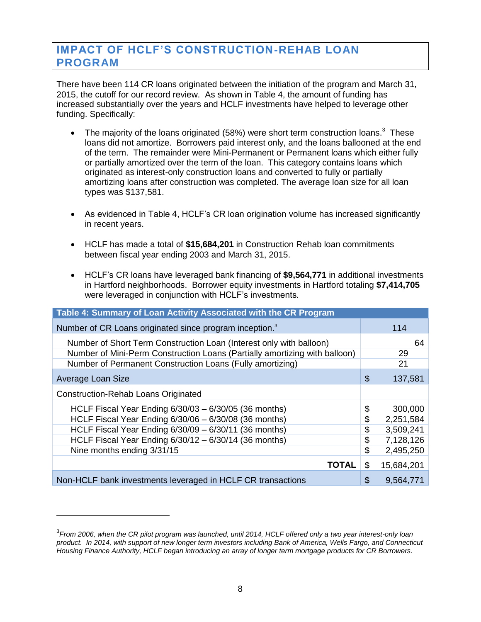# <span id="page-9-0"></span>**IMPACT OF HCLF'S CONSTRUCTION-REHAB LOAN PROGRAM**

There have been 114 CR loans originated between the initiation of the program and March 31, 2015, the cutoff for our record review. As shown in Table 4, the amount of funding has increased substantially over the years and HCLF investments have helped to leverage other funding. Specifically:

- <span id="page-9-1"></span>• The majority of the loans originated (58%) were short term construction loans.<sup>3</sup> These loans did not amortize. Borrowers paid interest only, and the loans ballooned at the end of the term. The remainder were Mini-Permanent or Permanent loans which either fully or partially amortized over the term of the loan. This category contains loans which originated as interest-only construction loans and converted to fully or partially amortizing loans after construction was completed. The average loan size for all loan types was \$137,581.
- As evidenced in Table 4, HCLF's CR loan origination volume has increased significantly in recent years.
- HCLF has made a total of **\$15,684,201** in Construction Rehab loan commitments between fiscal year ending 2003 and March 31, 2015.
- HCLF's CR loans have leveraged bank financing of **\$9,564,771** in additional investments in Hartford neighborhoods. Borrower equity investments in Hartford totaling **\$7,414,705** were leveraged in conjunction with HCLF's investments.

| Table 4: Summary of Loan Activity Associated with the CR Program           |                  |
|----------------------------------------------------------------------------|------------------|
| Number of CR Loans originated since program inception. <sup>3</sup>        | 114              |
| Number of Short Term Construction Loan (Interest only with balloon)        | 64               |
| Number of Mini-Perm Construction Loans (Partially amortizing with balloon) | 29               |
| Number of Permanent Construction Loans (Fully amortizing)                  | 21               |
| Average Loan Size                                                          | \$<br>137,581    |
| <b>Construction-Rehab Loans Originated</b>                                 |                  |
| HCLF Fiscal Year Ending 6/30/03 - 6/30/05 (36 months)                      | \$<br>300,000    |
| HCLF Fiscal Year Ending 6/30/06 - 6/30/08 (36 months)                      | \$<br>2,251,584  |
| HCLF Fiscal Year Ending 6/30/09 - 6/30/11 (36 months)                      | \$<br>3,509,241  |
| HCLF Fiscal Year Ending 6/30/12 - 6/30/14 (36 months)                      | \$<br>7,128,126  |
| Nine months ending 3/31/15                                                 | \$<br>2,495,250  |
| <b>TOTAL</b>                                                               | \$<br>15,684,201 |
| Non-HCLF bank investments leveraged in HCLF CR transactions                | \$<br>9,564,771  |

<sup>3</sup> *From 2006, when the CR pilot program was launched, until 2014, HCLF offered only a two year interest-only loan product. In 2014, with support of new longer term investors including Bank of America, Wells Fargo, and Connecticut Housing Finance Authority, HCLF began introducing an array of longer term mortgage products for CR Borrowers.*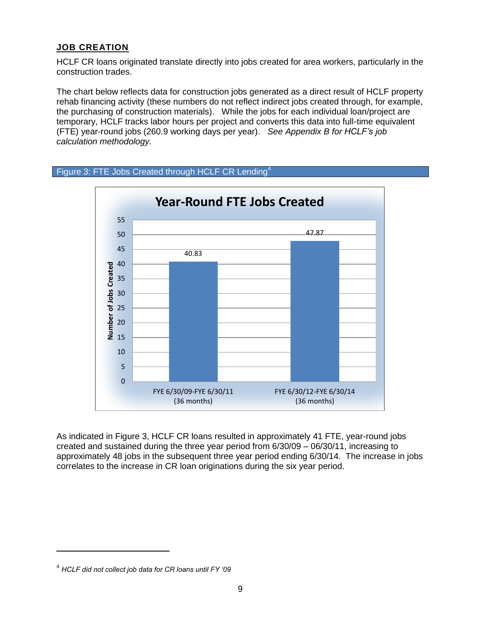## **JOB CREATION**

HCLF CR loans originated translate directly into jobs created for area workers, particularly in the construction trades.

The chart below reflects data for construction jobs generated as a direct result of HCLF property rehab financing activity (these numbers do not reflect indirect jobs created through, for example, the purchasing of construction materials). While the jobs for each individual loan/project are temporary, HCLF tracks labor hours per project and converts this data into full-time equivalent (FTE) year-round jobs (260.9 working days per year). *See Appendix B for HCLF's job calculation methodology.* 





As indicated in Figure 3, HCLF CR loans resulted in approximately 41 FTE, year-round jobs created and sustained during the three year period from 6/30/09 – 06/30/11, increasing to approximately 48 jobs in the subsequent three year period ending 6/30/14. The increase in jobs correlates to the increase in CR loan originations during the six year period.

<sup>4</sup> *HCLF did not collect job data for CR loans until FY '09*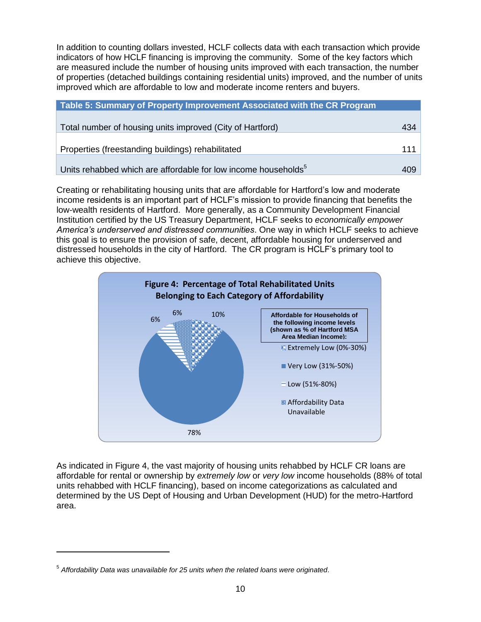In addition to counting dollars invested, HCLF collects data with each transaction which provide indicators of how HCLF financing is improving the community. Some of the key factors which are measured include the number of housing units improved with each transaction, the number of properties (detached buildings containing residential units) improved, and the number of units improved which are affordable to low and moderate income renters and buyers.

| Table 5: Summary of Property Improvement Associated with the CR Program    |     |
|----------------------------------------------------------------------------|-----|
|                                                                            |     |
| Total number of housing units improved (City of Hartford)                  | 434 |
|                                                                            |     |
| Properties (freestanding buildings) rehabilitated                          | 111 |
|                                                                            |     |
| Units rehabbed which are affordable for low income households <sup>5</sup> | 409 |

Creating or rehabilitating housing units that are affordable for Hartford's low and moderate income residents is an important part of HCLF's mission to provide financing that benefits the low-wealth residents of Hartford. More generally, as a Community Development Financial Institution certified by the US Treasury Department, HCLF seeks to *economically empower America's underserved and distressed communities*. One way in which HCLF seeks to achieve this goal is to ensure the provision of safe, decent, affordable housing for underserved and distressed households in the city of Hartford. The CR program is HCLF's primary tool to achieve this objective.



As indicated in Figure 4, the vast majority of housing units rehabbed by HCLF CR loans are affordable for rental or ownership by *extremely low* or *very low* income households (88% of total units rehabbed with HCLF financing), based on income categorizations as calculated and determined by the US Dept of Housing and Urban Development (HUD) for the metro-Hartford area.

<sup>5</sup> *Affordability Data was unavailable for 25 units when the related loans were originated.*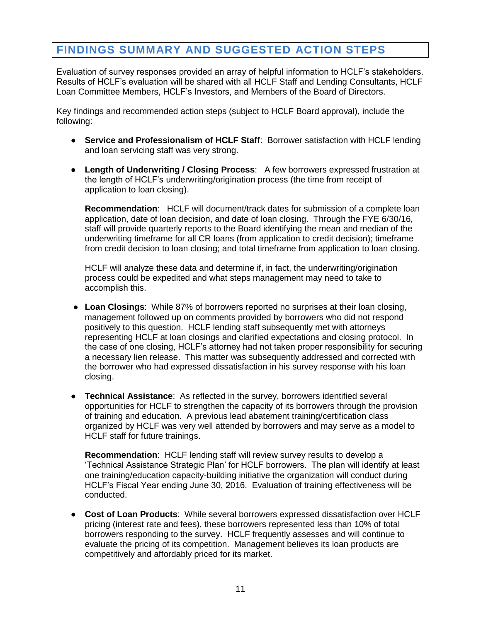# <span id="page-12-0"></span>**FINDINGS SUMMARY AND SUGGESTED ACTION STEPS**

Evaluation of survey responses provided an array of helpful information to HCLF's stakeholders. Results of HCLF's evaluation will be shared with all HCLF Staff and Lending Consultants, HCLF Loan Committee Members, HCLF's Investors, and Members of the Board of Directors.

Key findings and recommended action steps (subject to HCLF Board approval), include the following:

- **Service and Professionalism of HCLF Staff**: Borrower satisfaction with HCLF lending and loan servicing staff was very strong.
- **Length of Underwriting / Closing Process**: A few borrowers expressed frustration at the length of HCLF's underwriting/origination process (the time from receipt of application to loan closing).

**Recommendation**: HCLF will document/track dates for submission of a complete loan application, date of loan decision, and date of loan closing. Through the FYE 6/30/16, staff will provide quarterly reports to the Board identifying the mean and median of the underwriting timeframe for all CR loans (from application to credit decision); timeframe from credit decision to loan closing; and total timeframe from application to loan closing.

HCLF will analyze these data and determine if, in fact, the underwriting/origination process could be expedited and what steps management may need to take to accomplish this.

- **Loan Closings**: While 87% of borrowers reported no surprises at their loan closing, management followed up on comments provided by borrowers who did not respond positively to this question. HCLF lending staff subsequently met with attorneys representing HCLF at loan closings and clarified expectations and closing protocol. In the case of one closing, HCLF's attorney had not taken proper responsibility for securing a necessary lien release. This matter was subsequently addressed and corrected with the borrower who had expressed dissatisfaction in his survey response with his loan closing.
- **Technical Assistance**: As reflected in the survey, borrowers identified several opportunities for HCLF to strengthen the capacity of its borrowers through the provision of training and education. A previous lead abatement training/certification class organized by HCLF was very well attended by borrowers and may serve as a model to HCLF staff for future trainings.

**Recommendation**: HCLF lending staff will review survey results to develop a 'Technical Assistance Strategic Plan' for HCLF borrowers. The plan will identify at least one training/education capacity-building initiative the organization will conduct during HCLF's Fiscal Year ending June 30, 2016. Evaluation of training effectiveness will be conducted.

● **Cost of Loan Products**: While several borrowers expressed dissatisfaction over HCLF pricing (interest rate and fees), these borrowers represented less than 10% of total borrowers responding to the survey. HCLF frequently assesses and will continue to evaluate the pricing of its competition. Management believes its loan products are competitively and affordably priced for its market.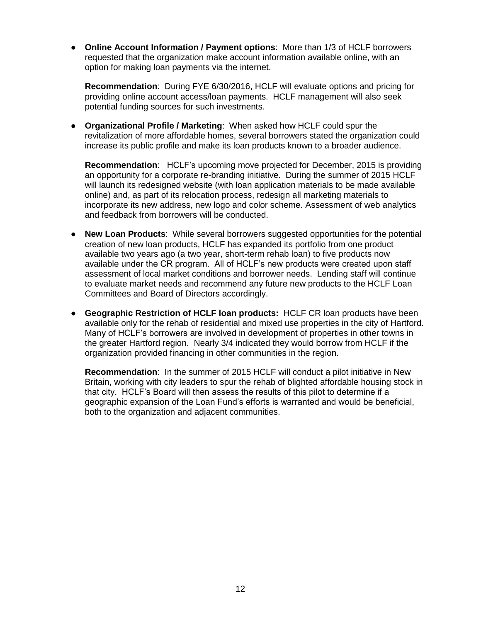● **Online Account Information / Payment options**: More than 1/3 of HCLF borrowers requested that the organization make account information available online, with an option for making loan payments via the internet.

**Recommendation**: During FYE 6/30/2016, HCLF will evaluate options and pricing for providing online account access/loan payments. HCLF management will also seek potential funding sources for such investments.

● **Organizational Profile / Marketing**: When asked how HCLF could spur the revitalization of more affordable homes, several borrowers stated the organization could increase its public profile and make its loan products known to a broader audience.

**Recommendation**: HCLF's upcoming move projected for December, 2015 is providing an opportunity for a corporate re-branding initiative. During the summer of 2015 HCLF will launch its redesigned website (with loan application materials to be made available online) and, as part of its relocation process, redesign all marketing materials to incorporate its new address, new logo and color scheme. Assessment of web analytics and feedback from borrowers will be conducted.

- **New Loan Products**: While several borrowers suggested opportunities for the potential creation of new loan products, HCLF has expanded its portfolio from one product available two years ago (a two year, short-term rehab loan) to five products now available under the CR program. All of HCLF's new products were created upon staff assessment of local market conditions and borrower needs. Lending staff will continue to evaluate market needs and recommend any future new products to the HCLF Loan Committees and Board of Directors accordingly.
- **Geographic Restriction of HCLF loan products:** HCLF CR loan products have been available only for the rehab of residential and mixed use properties in the city of Hartford. Many of HCLF's borrowers are involved in development of properties in other towns in the greater Hartford region. Nearly 3/4 indicated they would borrow from HCLF if the organization provided financing in other communities in the region.

**Recommendation**: In the summer of 2015 HCLF will conduct a pilot initiative in New Britain, working with city leaders to spur the rehab of blighted affordable housing stock in that city. HCLF's Board will then assess the results of this pilot to determine if a geographic expansion of the Loan Fund's efforts is warranted and would be beneficial, both to the organization and adjacent communities.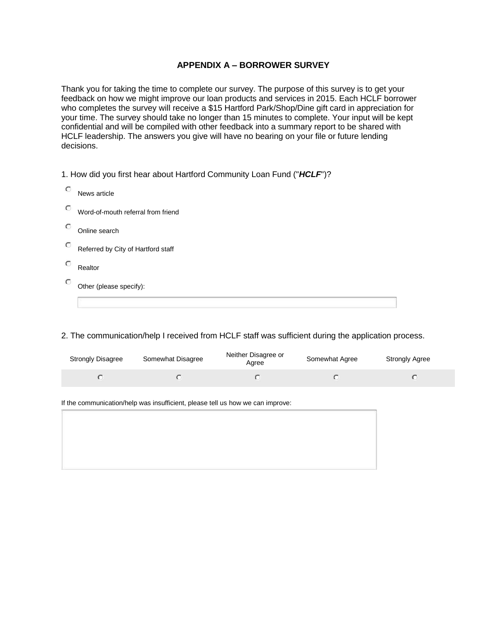### **APPENDIX A – BORROWER SURVEY**

Thank you for taking the time to complete our survey. The purpose of this survey is to get your feedback on how we might improve our loan products and services in 2015. Each HCLF borrower who completes the survey will receive a \$15 Hartford Park/Shop/Dine gift card in appreciation for your time. The survey should take no longer than 15 minutes to complete. Your input will be kept confidential and will be compiled with other feedback into a summary report to be shared with HCLF leadership. The answers you give will have no bearing on your file or future lending decisions.

1. How did you first hear about Hartford Community Loan Fund ("*HCLF*")?

| $\circ$ | News article                       |
|---------|------------------------------------|
| $\circ$ | Word-of-mouth referral from friend |
| $\circ$ | Online search                      |
| $\circ$ | Referred by City of Hartford staff |
| $\circ$ | Realtor                            |
| $\circ$ | Other (please specify):            |

#### 2. The communication/help I received from HCLF staff was sufficient during the application process.

| <b>Strongly Disagree</b> | Somewhat Disagree | Neither Disagree or<br>Aaree | Somewhat Agree | <b>Strongly Agree</b> |
|--------------------------|-------------------|------------------------------|----------------|-----------------------|
|                          |                   |                              |                |                       |

If the communication/help was insufficient, please tell us how we can improve: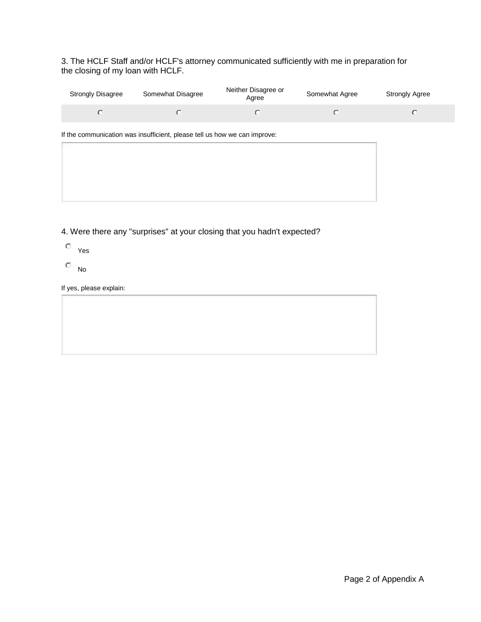3. The HCLF Staff and/or HCLF's attorney communicated sufficiently with me in preparation for the closing of my loan with HCLF.

| <b>Strongly Disagree</b> | Somewhat Disagree | Neither Disagree or<br>Aaree | Somewhat Agree | Strongly Agree |
|--------------------------|-------------------|------------------------------|----------------|----------------|
|                          |                   |                              |                |                |

If the communication was insufficient, please tell us how we can improve:

4. Were there any "surprises" at your closing that you hadn't expected?

- Yes
- $\circ$  No

If yes, please explain: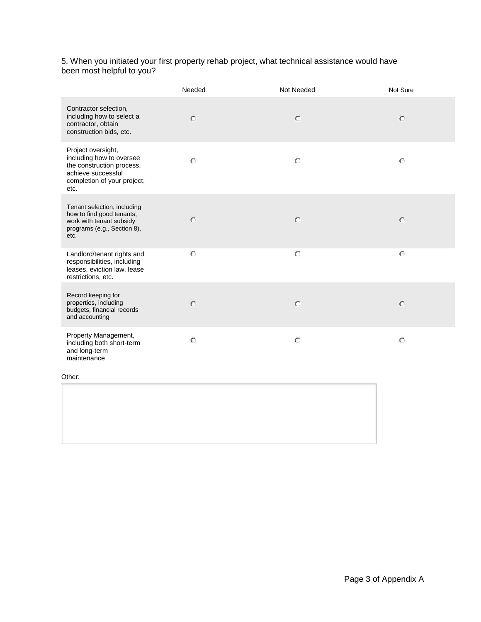#### 5. When you initiated your first property rehab project, what technical assistance would have been most helpful to you?

|                                                                                                                                          | Needed  | Not Needed | Not Sure |
|------------------------------------------------------------------------------------------------------------------------------------------|---------|------------|----------|
| Contractor selection,<br>including how to select a<br>contractor, obtain<br>construction bids, etc.                                      | $\circ$ | $\circ$    | $\circ$  |
| Project oversight,<br>including how to oversee<br>the construction process,<br>achieve successful<br>completion of your project,<br>etc. | $\circ$ | $\circ$    | $\circ$  |
| Tenant selection, including<br>how to find good tenants,<br>work with tenant subsidy<br>programs (e.g., Section 8),<br>etc.              | $\circ$ | $\circ$    | $\circ$  |
| Landlord/tenant rights and<br>responsibilities, including<br>leases, eviction law, lease<br>restrictions, etc.                           | $\circ$ | $\circ$    | $\circ$  |
| Record keeping for<br>properties, including<br>budgets, financial records<br>and accounting                                              | $\circ$ | $\circ$    | $\circ$  |
| Property Management,<br>including both short-term<br>and long-term<br>maintenance                                                        | $\circ$ | $\circ$    | $\circ$  |

Other: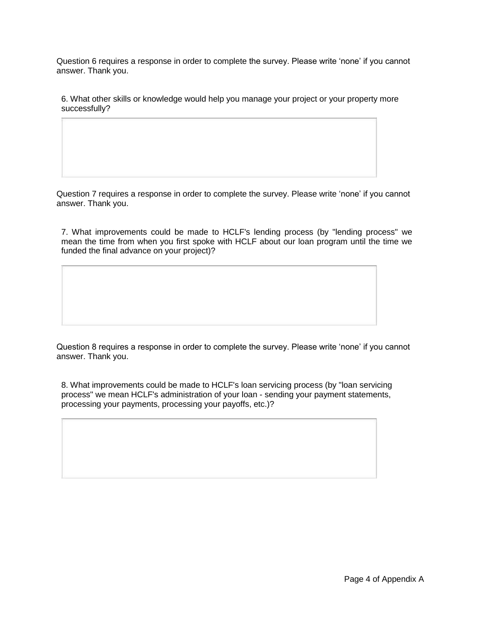Question 6 requires a response in order to complete the survey. Please write 'none' if you cannot answer. Thank you.

6. What other skills or knowledge would help you manage your project or your property more successfully?

Question 7 requires a response in order to complete the survey. Please write 'none' if you cannot answer. Thank you.

7. What improvements could be made to HCLF's lending process (by "lending process" we mean the time from when you first spoke with HCLF about our loan program until the time we funded the final advance on your project)?

Question 8 requires a response in order to complete the survey. Please write 'none' if you cannot answer. Thank you.

8. What improvements could be made to HCLF's loan servicing process (by "loan servicing process" we mean HCLF's administration of your loan - sending your payment statements, processing your payments, processing your payoffs, etc.)?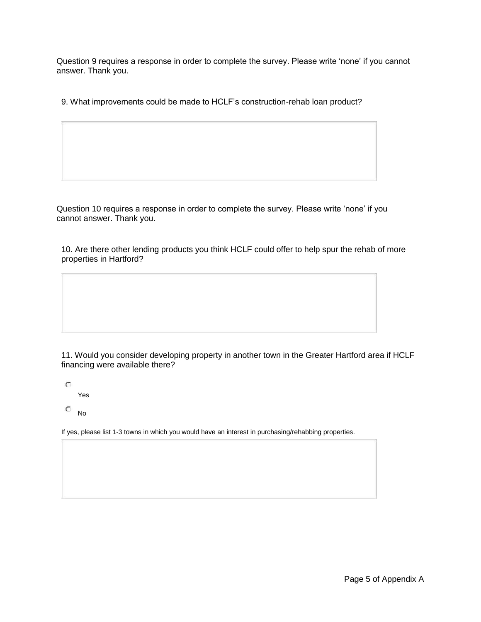Question 9 requires a response in order to complete the survey. Please write 'none' if you cannot answer. Thank you.

9. What improvements could be made to HCLF's construction-rehab loan product?

Question 10 requires a response in order to complete the survey. Please write 'none' if you cannot answer. Thank you.

10. Are there other lending products you think HCLF could offer to help spur the rehab of more properties in Hartford?

11. Would you consider developing property in another town in the Greater Hartford area if HCLF financing were available there?

 $\circ$ 

Yes

 $\overline{\circ}$  No

If yes, please list 1-3 towns in which you would have an interest in purchasing/rehabbing properties.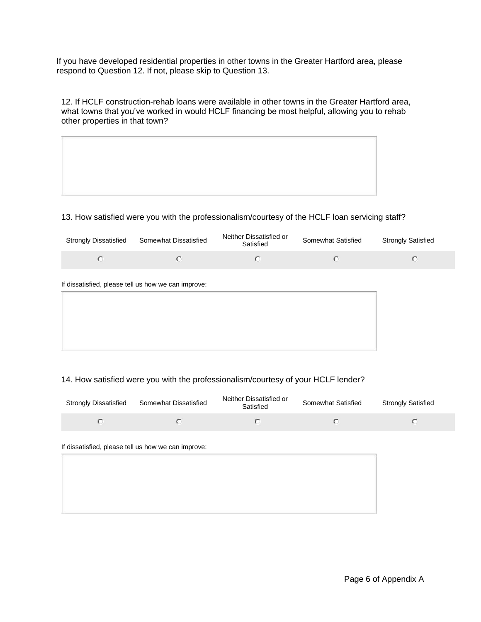If you have developed residential properties in other towns in the Greater Hartford area, please respond to Question 12. If not, please skip to Question 13.

12. If HCLF construction-rehab loans were available in other towns in the Greater Hartford area, what towns that you've worked in would HCLF financing be most helpful, allowing you to rehab other properties in that town?



#### 13. How satisfied were you with the professionalism/courtesy of the HCLF loan servicing staff?

| <b>Strongly Dissatisfied</b> | Somewhat Dissatisfied | Neither Dissatisfied or<br>Satisfied | Somewhat Satisfied | <b>Strongly Satisfied</b> |  |
|------------------------------|-----------------------|--------------------------------------|--------------------|---------------------------|--|
|                              |                       |                                      |                    |                           |  |

#### If dissatisfied, please tell us how we can improve:

#### 14. How satisfied were you with the professionalism/courtesy of your HCLF lender?

| <b>Strongly Dissatisfied</b> | Somewhat Dissatisfied | Neither Dissatisfied or<br>Satisfied | Somewhat Satisfied | <b>Strongly Satisfied</b> |
|------------------------------|-----------------------|--------------------------------------|--------------------|---------------------------|
|                              |                       |                                      |                    |                           |

If dissatisfied, please tell us how we can improve: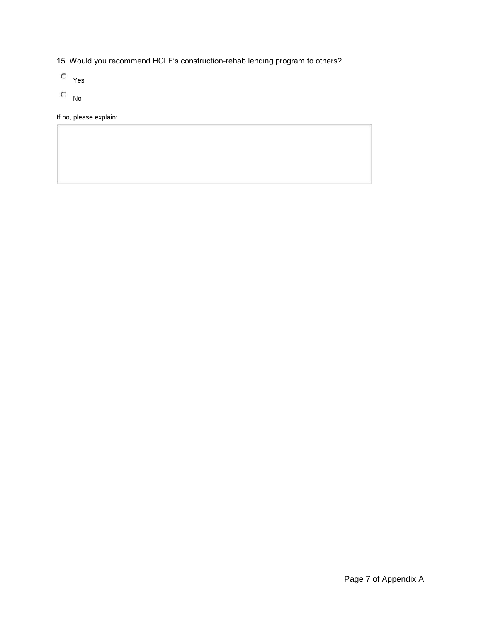- 15. Would you recommend HCLF's construction-rehab lending program to others?
- Yes
- $\overline{\phantom{a}}$  No

If no, please explain: